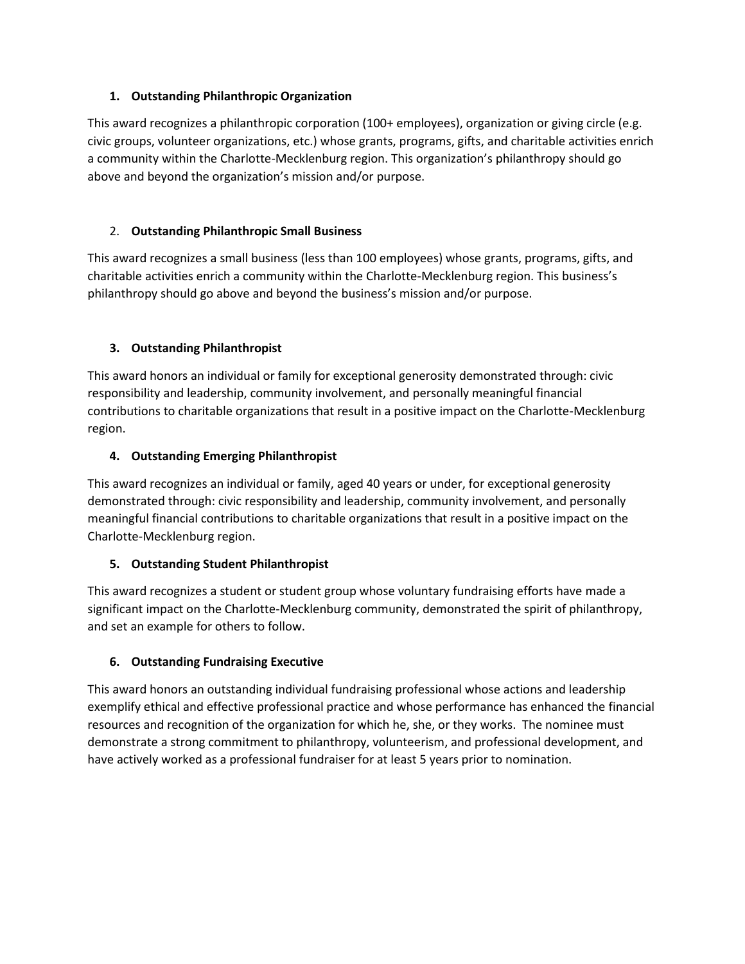### **1. Outstanding Philanthropic Organization**

This award recognizes a philanthropic corporation (100+ employees), organization or giving circle (e.g. civic groups, volunteer organizations, etc.) whose grants, programs, gifts, and charitable activities enrich a community within the Charlotte-Mecklenburg region. This organization's philanthropy should go above and beyond the organization's mission and/or purpose.

# 2. **Outstanding Philanthropic Small Business**

This award recognizes a small business (less than 100 employees) whose grants, programs, gifts, and charitable activities enrich a community within the Charlotte-Mecklenburg region. This business's philanthropy should go above and beyond the business's mission and/or purpose.

# **3. Outstanding Philanthropist**

This award honors an individual or family for exceptional generosity demonstrated through: civic responsibility and leadership, community involvement, and personally meaningful financial contributions to charitable organizations that result in a positive impact on the Charlotte-Mecklenburg region.

### **4. Outstanding Emerging Philanthropist**

This award recognizes an individual or family, aged 40 years or under, for exceptional generosity demonstrated through: civic responsibility and leadership, community involvement, and personally meaningful financial contributions to charitable organizations that result in a positive impact on the Charlotte-Mecklenburg region.

### **5. Outstanding Student Philanthropist**

This award recognizes a student or student group whose voluntary fundraising efforts have made a significant impact on the Charlotte-Mecklenburg community, demonstrated the spirit of philanthropy, and set an example for others to follow.

### **6. Outstanding Fundraising Executive**

This award honors an outstanding individual fundraising professional whose actions and leadership exemplify ethical and effective professional practice and whose performance has enhanced the financial resources and recognition of the organization for which he, she, or they works. The nominee must demonstrate a strong commitment to philanthropy, volunteerism, and professional development, and have actively worked as a professional fundraiser for at least 5 years prior to nomination.